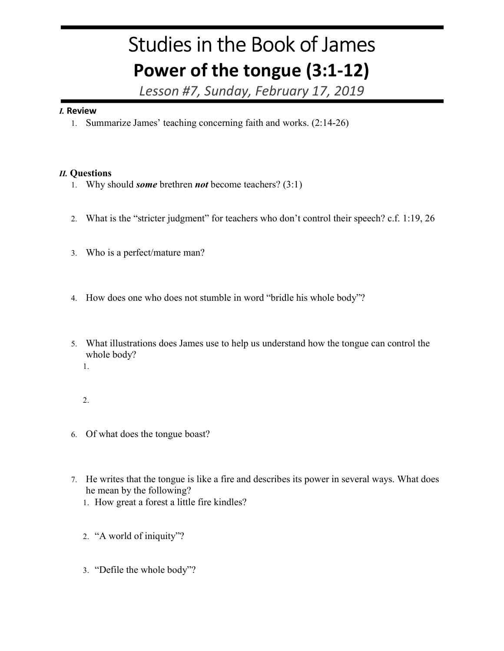## Studies in the Book of James Power of the tongue (3:1-12)

Lesson #7, Sunday, February 17, 2019

## I. Review

1. Summarize James' teaching concerning faith and works. (2:14-26)

## II. Questions

- 1. Why should *some* brethren *not* become teachers?  $(3:1)$
- 2. What is the "stricter judgment" for teachers who don't control their speech? c.f. 1:19, 26
- 3. Who is a perfect/mature man?
- 4. How does one who does not stumble in word "bridle his whole body"?
- 5. What illustrations does James use to help us understand how the tongue can control the whole body?
	- 1.
	- 2.
- 6. Of what does the tongue boast?
- 7. He writes that the tongue is like a fire and describes its power in several ways. What does he mean by the following?
	- 1. How great a forest a little fire kindles?
	- 2. "A world of iniquity"?
	- 3. "Defile the whole body"?